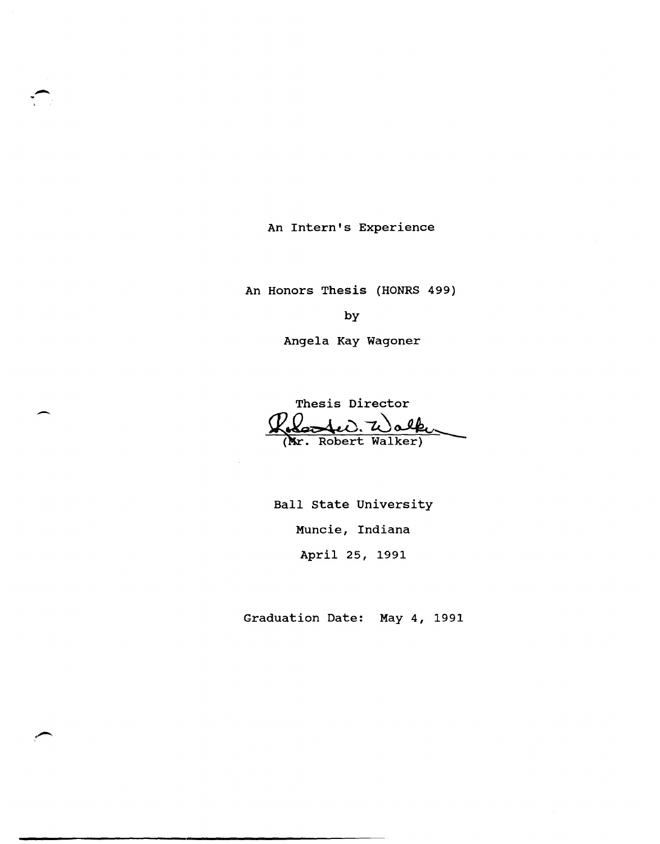An Intern's Experience

An Honors Thesis (HONRS 499)

by

Angela Kay Wagoner

Thesis Director Roberted. Walker

Ball state University Muncie, Indiana April 25, 1991

Graduation Date: May 4, 1991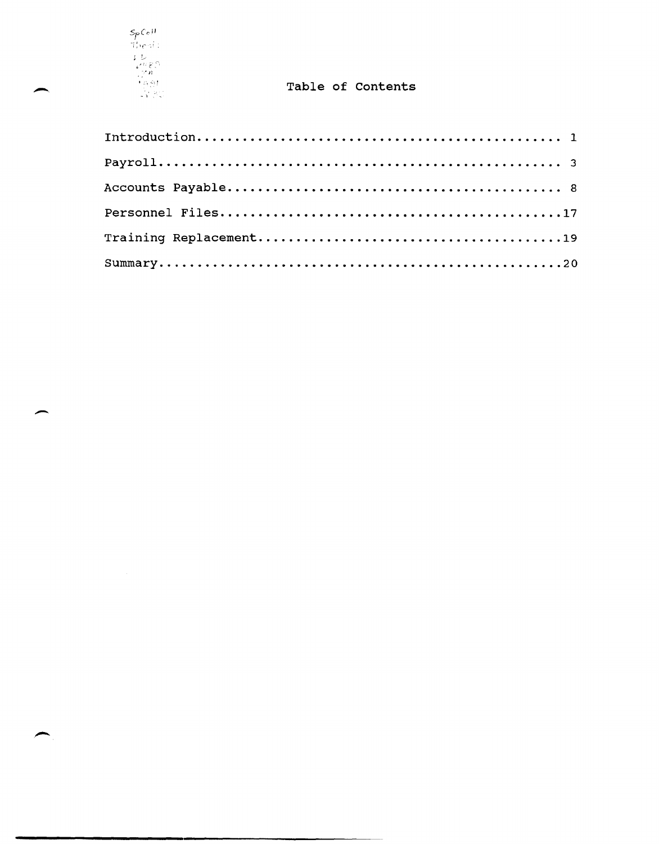

# Table of Contents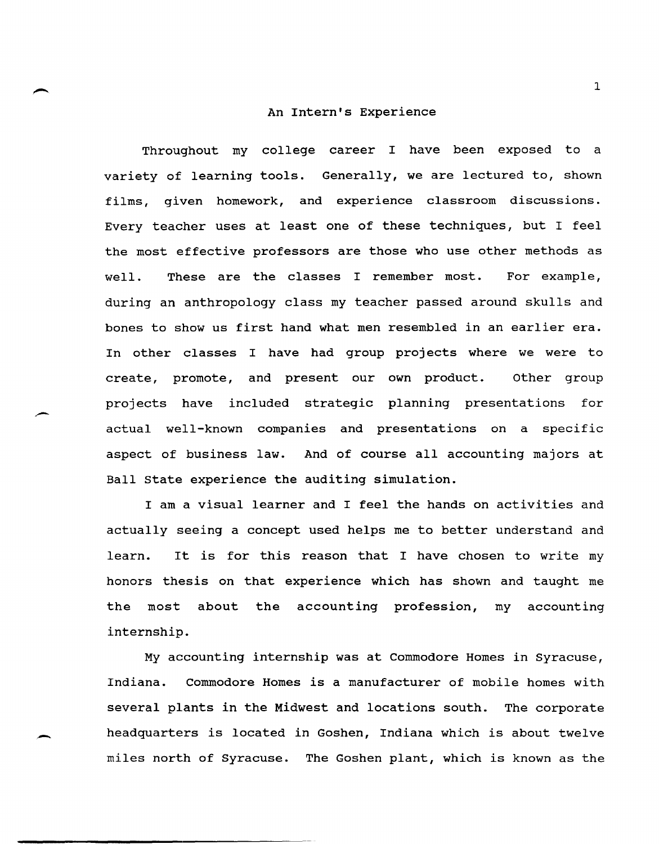#### An Intern's Experience

Throughout my college career I have been exposed to a variety of learning tools. Generally, we are lectured to, shown films, given homework, and experience classroom discussions. Every teacher uses at least one of these techniques, but I feel the most effective professors are those who use other methods as well. These are the classes I remember most. For example, during an anthropology class my teacher passed around skulls and bones to show us first hand what men resembled in an earlier era. In other classes I have had group projects where we were to create, promote, and present our own product. Other group projects have included strategic planning presentations for actual well-known companies and presentations on a specific aspect of business law. And of course all accounting majors at Ball state experience the auditing simulation.

.-

-

I am a visual learner and I feel the hands on activities and actually seeing a concept used helps me to better understand and learn. It is for this reason that I have chosen to write my honors thesis on that experience which has shown and taught me the most about the accounting profession, my accounting internship.

My accounting internship was at Commodore Homes in Syracuse, Indiana. Commodore Homes is a manufacturer of mobile homes with several plants in the Midwest and locations south. The corporate headquarters is located in Goshen, Indiana which is about twelve miles north of Syracuse. The Goshen plant, which is known as the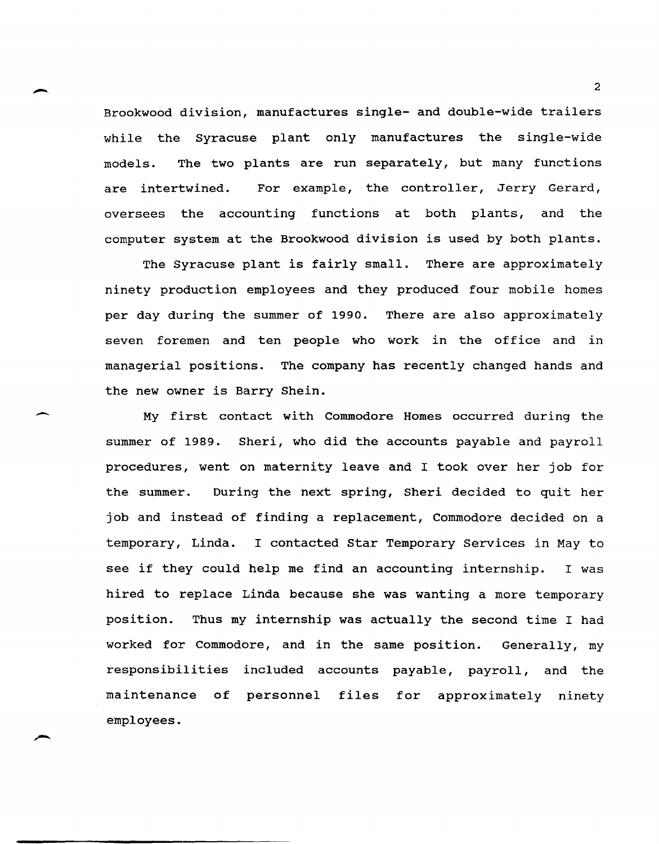Brookwood division, manufactures single- and double-wide trailers while the Syracuse plant only manufactures the single-wide models. The two plants are run separately, but many functions are intertwined. For example, the controller, Jerry Gerard, oversees the accounting functions at both plants, and the computer system at the Brookwood division is used by both plants.

The Syracuse plant is fairly small. There are approximately ninety production employees and they produced four mobile homes per day during the summer of 1990. There are also approximately seven foremen and ten people who work in the office and in managerial positions. The company has recently changed hands and the new owner is Barry Shein.

 $\overline{\phantom{a}}$ 

My first contact with Commodore Homes occurred during the summer of 1989. Sheri, who did the accounts payable and payroll procedures, went on maternity leave and I took over her job for the summer. During the next spring, Sheri decided to quit her job and instead of finding a replacement, Commodore decided on a temporary, Linda. I contacted Star Temporary Services in May to see if they could help me find an accounting internship. I was hired to replace Linda because she was wanting a more temporary position. Thus my internship was actually the second time I had worked for Commodore, and in the same position. Generally, my responsibilities included accounts payable, payroll, and the maintenance of personnel files for approximately ninety employees.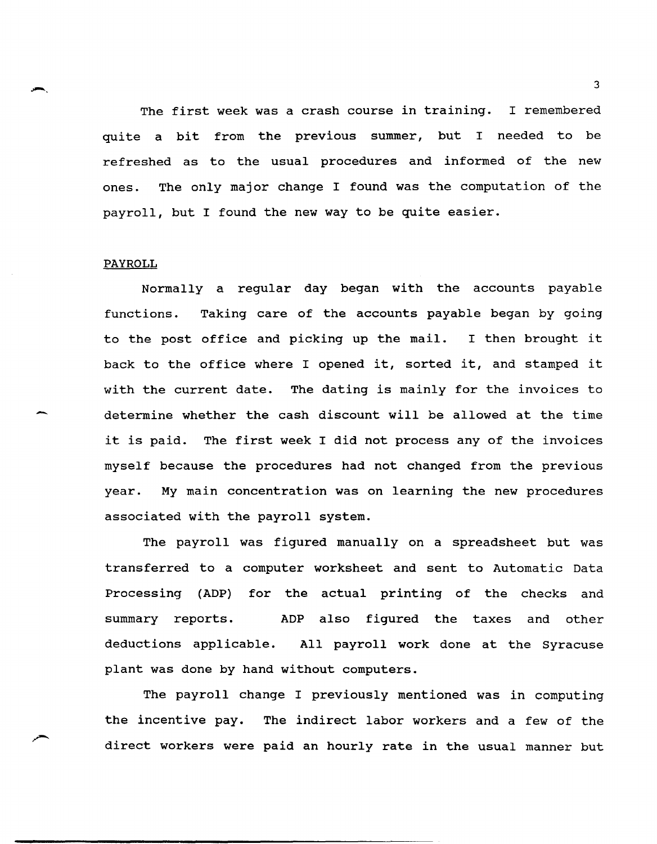The first week was a crash course in training. I remembered quite a bit from the previous summer, but I needed to be refreshed as to the usual procedures and informed of the new ones. The only major change I found was the computation of the payroll, but I found the new way to be quite easier.

## PAYROLL

.-.,

--

Normally a regular day began with the accounts payable functions. Taking care of the accounts payable began by going to the post office and picking up the mail. I then brought it back to the office where I opened it, sorted it, and stamped it with the current date. The dating is mainly for the invoices to determine whether the cash discount will be allowed at the time it is paid. The first week I did not process any of the invoices myself because the procedures had not changed from the previous year. My main concentration was on learning the new procedures associated with the payroll system.

The payroll was figured manually on a spreadsheet but was transferred to a computer worksheet and sent to Automatic Data Processing (ADP) for the actual printing of the checks and summary reports. ADP also figured the taxes and other deductions applicable. All payroll work done at the Syracuse plant was done by hand without computers.

The payroll change I previously mentioned was in computing the incentive pay. The indirect labor workers and a few of the direct workers were paid an hourly rate in the usual manner but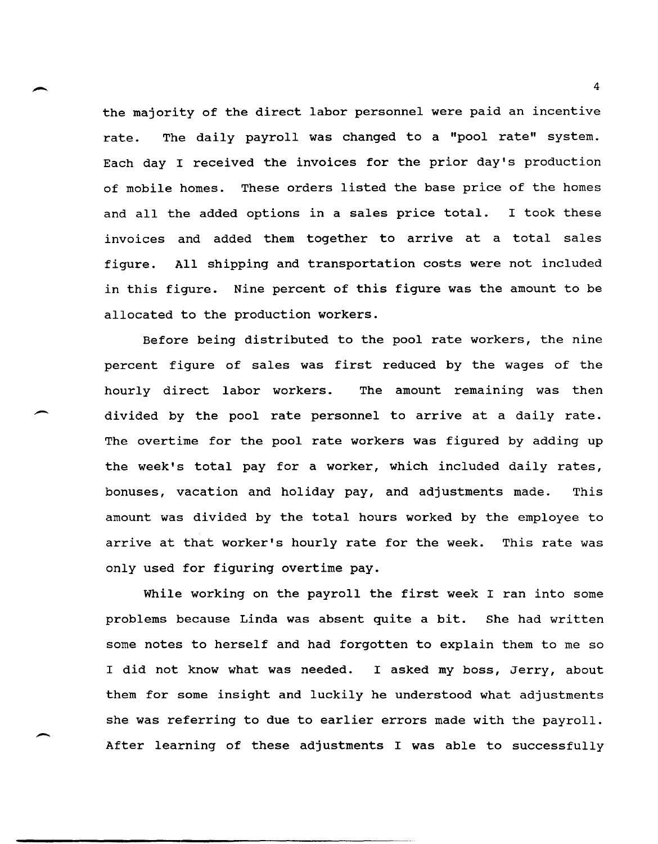the majority of the direct labor personnel were paid an incentive rate. The daily payroll was changed to a "pool rate" system. Each day I received the invoices for the prior day's production of mobile homes. These orders listed the base price of the homes and all the added options in a sales price total. I took these invoices and added them together to arrive at a total sales figure. All shipping and transportation costs were not included in this figure. Nine percent of this figure was the amount to be allocated to the production workers.

Before being distributed to the pool rate workers, the nine percent figure of sales was first reduced by the wages of the hourly direct labor workers. The amount remaining was then divided by the pool rate personnel to arrive at a daily rate. The overtime for the pool rate workers was figured by adding up the week's total pay for a worker, which included daily rates, bonuses, vacation and holiday pay, and adjustments made. This amount was divided by the total hours worked by the employee to arrive at that worker's hourly rate for the week. This rate was only used for figuring overtime pay.

 $\overline{\phantom{a}}$ 

-

While working on the payroll the first week I ran into some problems because Linda was absent quite a bit. She had written some notes to herself and had forgotten to explain them to me so I did not know what was needed. I asked my boss, Jerry, about them for some insight and luckily he understood what adjustments she was referring to due to earlier errors made with the payroll. After learning of these adjustments I was able to successfully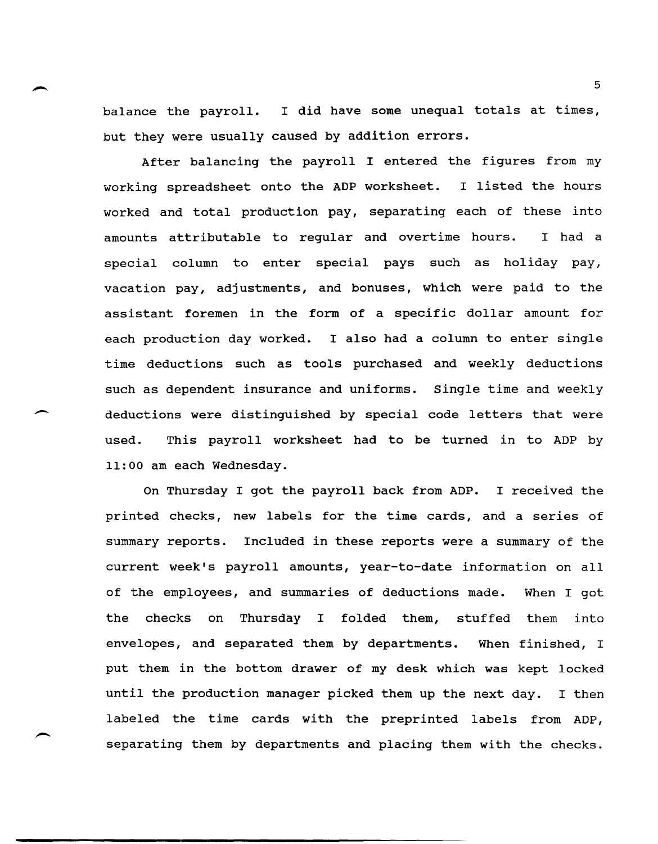balance the payroll. I did have some unequal totals at times, but they were usually caused by addition errors.

After balancing the payroll I entered the figures from my working spreadsheet onto the ADP worksheet. I listed the hours worked and total production pay, separating each of these into amounts attributable to regular and overtime hours. I had a special column to enter special pays such as holiday pay, vacation pay, adjustments, and bonuses, which were paid to the assistant foremen in the form of a specific dollar amount for each production day worked. I also had a column to enter single time deductions such as tools purchased and weekly deductions such as dependent insurance and uniforms. Single time and weekly deductions were distinguished by special code letters that were used. This payroll worksheet had to be turned in to ADP by 11:00 am each Wednesday.

 $\overline{\phantom{a}}$ 

On Thursday I got the payroll back from ADP. I received the printed checks, new labels for the time cards, and a series of summary reports. Included in these reports were a summary of the current week's payroll amounts, year-to-date information on all of the employees, and summaries of deductions made. When I got the checks on Thursday I folded them, stuffed them into envelopes, and separated them by departments. When finished, I put them in the bottom drawer of my desk which was kept locked until the production manager picked them up the next day. I then labeled the time cards with the preprinted labels from ADP, separating them by departments and placing them with the checks.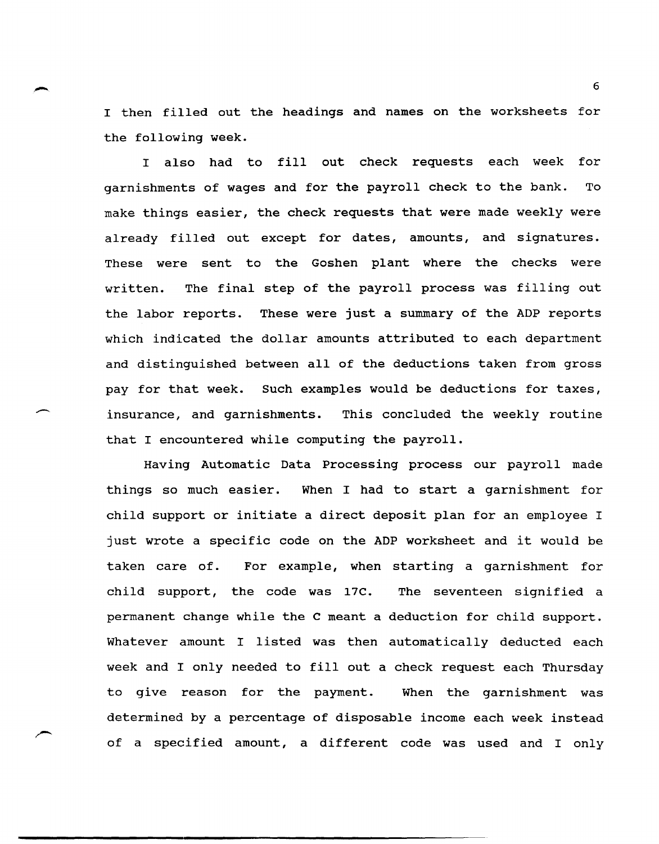I then filled out the headings and names on the worksheets for the following week.

I also had to fill out check requests each week for garnishments of wages and for the payroll check to the bank. To make things easier, the check requests that were made weekly were already filled out except for dates, amounts, and signatures. These were sent to the Goshen plant where the checks were written. The final step of the payroll process was filling out the labor reports. These were just a summary of the ADP reports which indicated the dollar amounts attributed to each department and distinguished between all of the deductions taken from gross pay for that week. Such examples would be deductions for taxes, insurance, and garnishments. This concluded the weekly routine that I encountered while computing the payroll.

Having Automatic Data Processing process our payroll made things so much easier. When I had to start a garnishment for child support or initiate a direct deposit plan for an employee I just wrote a specific code on the ADP worksheet and it would be taken care of. For example, when starting a garnishment for child support, the code was 17C. The seventeen signified a permanent change while the C meant a deduction for child support. Whatever amount I listed was then automatically deducted each week and I only needed to fill out a check request each Thursday to give reason for the payment. When the garnishment was determined by a percentage of disposable income each week instead of a specified amount, a different code was used and I only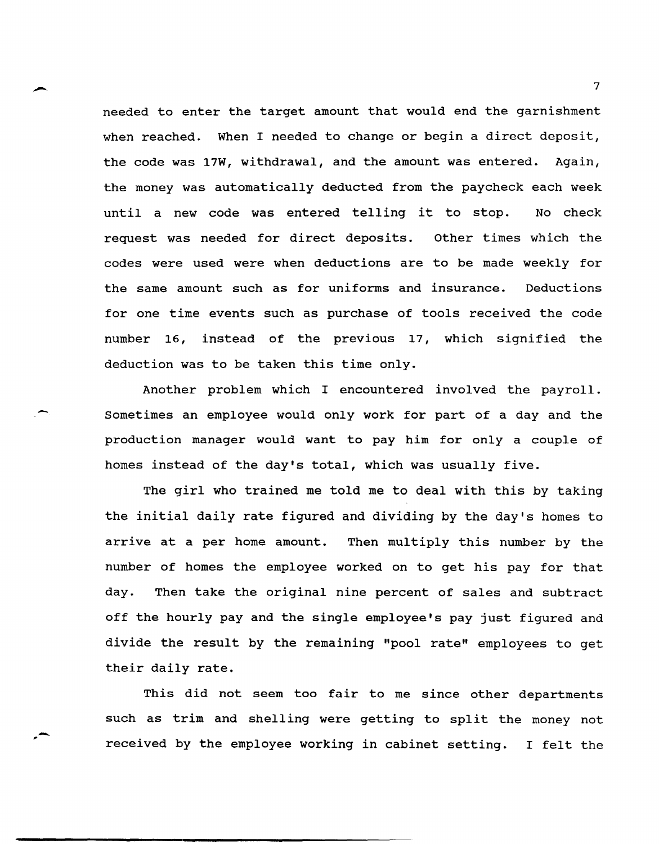needed to enter the target amount that would end the garnishment when reached. When I needed to change or begin a direct deposit, the code was 17W, withdrawal, and the amount was entered. Again, the money was automatically deducted from the paycheck each week until a new code was entered telling it to stop. No check request was needed for direct deposits. other times which the codes were used were when deductions are to be made weekly for the same amount such as for uniforms and insurance. Deductions for one time events such as purchase of tools received the code number 16, instead of the previous 17, which signified the deduction was to be taken this time only.

Another problem which I encountered involved the payroll. sometimes an employee would only work for part of a day and the production manager would want to pay him for only a couple of homes instead of the day's total, which was usually five.

The girl who trained me told me to deal with this by taking the initial daily rate figured and dividing by the day's homes to arrive at a per home amount. Then multiply this number by the number of homes the employee worked on to get his pay for that day. Then take the original nine percent of sales and subtract off the hourly pay and the single employee's pay just figured and divide the result by the remaining "pool rate" employees to get their daily rate.

This did not seem too fair to me since other departments such as trim and shelling were getting to split the money not received by the employee working in cabinet setting. I felt the

-- ,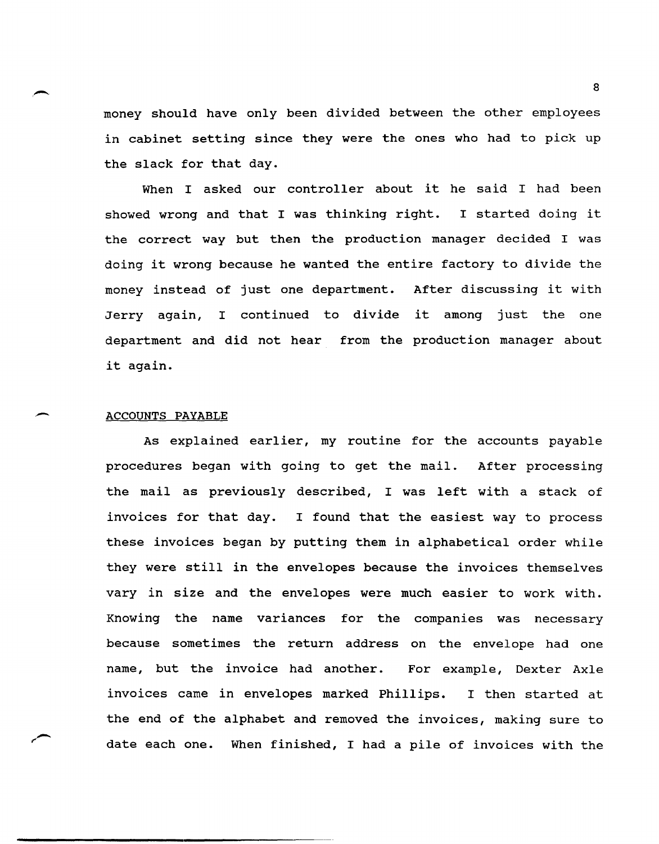money should have only been divided between the other employees in cabinet setting since they were the ones who had to pick up the slack for that day.

When I asked our controller about it he said I had been showed wrong and that I was thinking right. I started doing it the correct way but then the production manager decided I was doing it wrong because he wanted the entire factory to divide the money instead of just one department. After discussing it with Jerry again, I continued to divide it among just the one department and did not hear from the production manager about it again.

### ACCOUNTS PAYABLE

 $\overline{\phantom{0}}$ 

As explained earlier, my routine for the accounts payable procedures began with going to get the mail. After processing the mail as previously described, I was left with a stack of invoices for that day. I found that the easiest way to process these invoices began by putting them in alphabetical order while they were still in the envelopes because the invoices themselves vary in size and the envelopes were much easier to work with. Knowing the name variances for the companies was necessary because sometimes the return address on the envelope had one name, but the invoice had another. For example, Dexter Axle invoices came in envelopes marked Phillips. I then started at the end of the alphabet and removed the invoices, making sure to date each one. When finished, I had a pile of invoices with the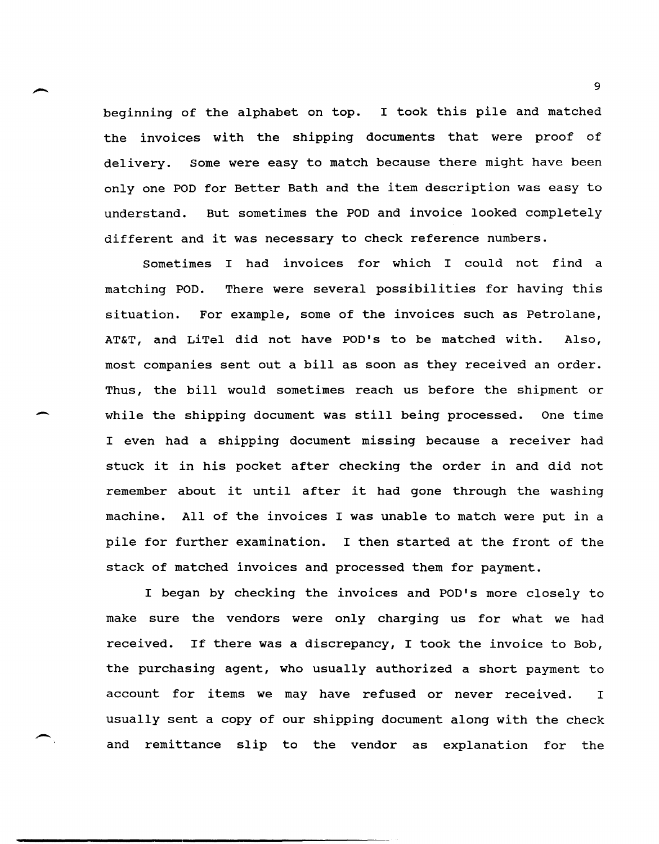beginning of the alphabet on top. I took this pile and matched the invoices with the shipping documents that were proof of delivery. Some were easy to match because there might have been only one POD for Better Bath and the item description was easy to understand. But sometimes the POD and invoice looked completely different and it was necessary to check reference numbers.

Sometimes I had invoices for which I could not find a matching POD. There were several possibilities for having this situation. For example, some of the invoices such as Petrolane, AT&T, and LiTel did not have POD's to be matched with. Also, most companies sent out a bill as soon as they received an order. Thus, the bill would sometimes reach us before the shipment or while the shipping document was still being processed. One time I even had a shipping document missing because a receiver had stuck it in his pocket after checking the order in and did not remember about it until after it had gone through the washing machine. All of the invoices I was unable to match were put in a pile for further examination. I then started at the front of the stack of matched invoices and processed them for payment.

-

-.

I began by checking the invoices and POD's more closely to make sure the vendors were only charging us for what we had received. If there was a discrepancy, I took the invoice to Bob, the purchasing agent, who usually authorized a short payment to account for items we may have refused or never received. I usually sent a copy of our shipping document along with the check and remittance slip to the vendor as explanation for the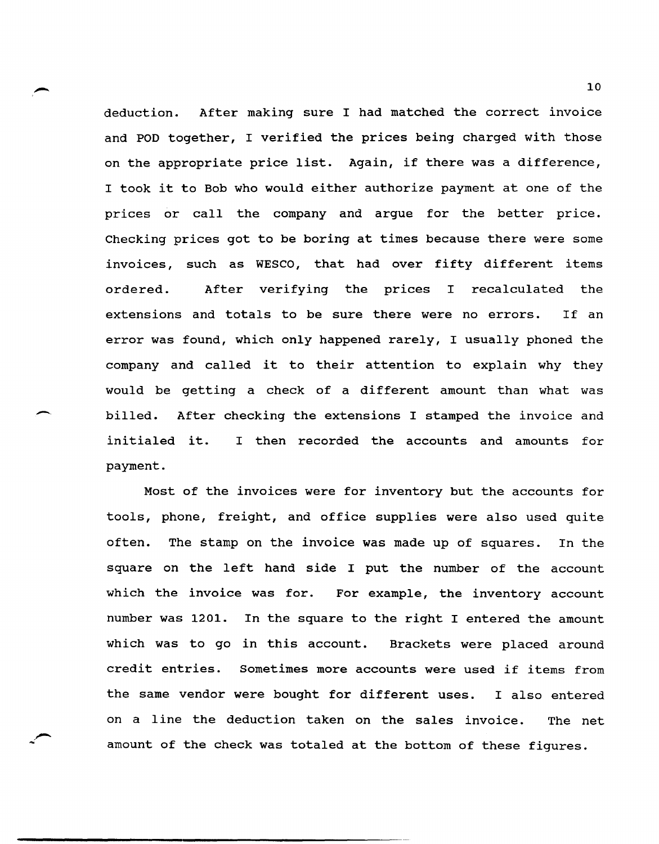deduction. After making sure I had matched the correct invoice and POD together, I verified the prices being charged with those on the appropriate price list. Again, if there was a difference, I took it to Bob who would either authorize payment at one of the prices or call the company and argue for the better price. Checking prices got to be boring at times because there were some invoices, such as WESCO, that had over fifty different items ordered. After verifying the prices I recalculated the extensions and totals to be sure there were no errors. If an error was found, which only happened rarely, I usually phoned the company and called it to their attention to explain why they would be getting a check of a different amount than what was billed. After checking the extensions I stamped the invoice and initialed it. I then recorded the accounts and amounts for payment.

Most of the invoices were for inventory but the accounts for tools, phone, freight, and office supplies were also used quite often. The stamp on the invoice was made up of squares. In the square on the left hand side I put the number of the account which the invoice was for. For example, the inventory account number was 1201. In the square to the right I entered the amount which was to go in this account. Brackets were placed around credit entries. Sometimes more accounts were used if items from the same vendor were bought for different uses. I also entered on a line the deduction taken on the sales invoice. The net amount of the check was totaled at the bottom of these figures.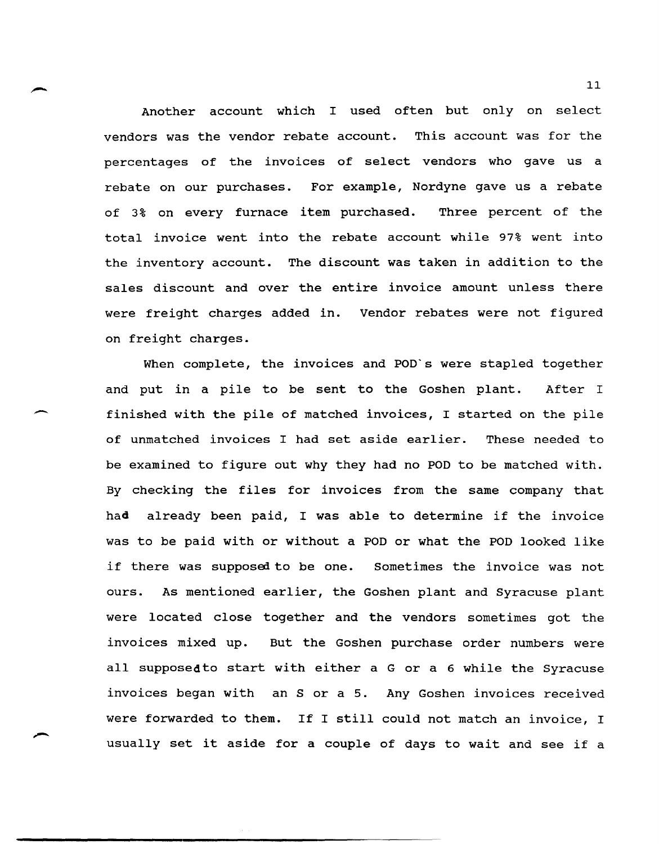Another account which I used often but only on select vendors was the vendor rebate account. This account was for the percentages of the invoices of select vendors who gave us a rebate on our purchases. For example, Nordyne gave us a rebate of 3% on every furnace item purchased. Three percent of the total invoice went into the rebate account while 97% went into the inventory account. The discount was taken in addition to the sales discount and over the entire invoice amount unless there were freight charges added in. Vendor rebates were not figured on freight charges.

When complete, the invoices and POD's were stapled together and put in a pile to be sent to the Goshen plant. After I finished with the pile of matched invoices, I started on the pile of unmatched invoices I had set aside earlier. These needed to be examined to figure out why they had no POD to be matched with. By checking the files for invoices from the same company that had already been paid, I was able to determine if the invoice was to be paid with or without a POD or what the POD looked like if there was supposed to be one. sometimes the invoice was not ours. As mentioned earlier, the Goshen plant and Syracuse plant were located close together and the vendors sometimes got the invoices mixed up. But the Goshen purchase order numbers were all supposedto start with either a G or a 6 while the Syracuse invoices began with an S or a 5. Any Goshen invoices received were forwarded to them. If I still could not match an invoice, I usually set it aside for a couple of days to wait and see if a

-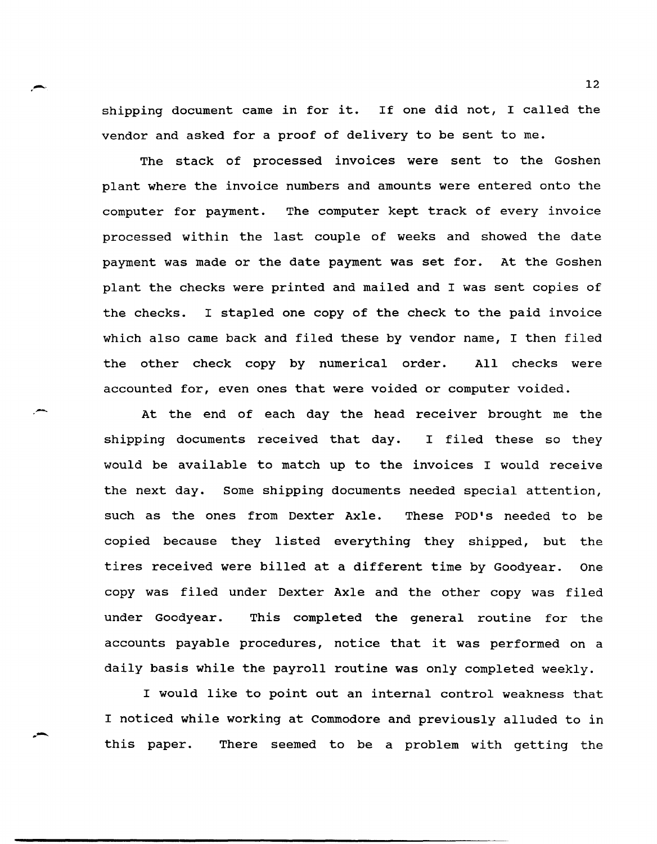shipping document came in for it. If one did not, I called the vendor and asked for a proof of delivery to be sent to me.

.--

The stack of processed invoices were sent to the Goshen plant where the invoice numbers and amounts were entered onto the computer for payment. The computer kept track of every invoice processed within the last couple of weeks and showed the date payment was made or the date payment was set for. At the Goshen plant the checks were printed and mailed and I was sent copies of the checks. I stapled one copy of the check to the paid invoice which also came back and filed these by vendor name, I then filed the other check copy by numerical order. All checks were accounted for, even ones that were voided or computer voided.

At the end of each day the head receiver brought me the shipping documents received that day. I filed these so they would be available to match up to the invoices I would receive the next day. Some shipping documents needed special attention, such as the ones from Dexter Axle. These POD's needed to be copied because they listed everything they shipped, but the tires received were billed at a different time by Goodyear. One copy was filed under Dexter Axle and the other copy was filed under Goodyear. This completed the general routine for the accounts payable procedures, notice that it was performed on a daily basis while the payroll routine was only completed weekly.

I would like to point out an internal control weakness that I noticed while working at Commodore and previously alluded to in this paper. There seemed to be a problem with getting the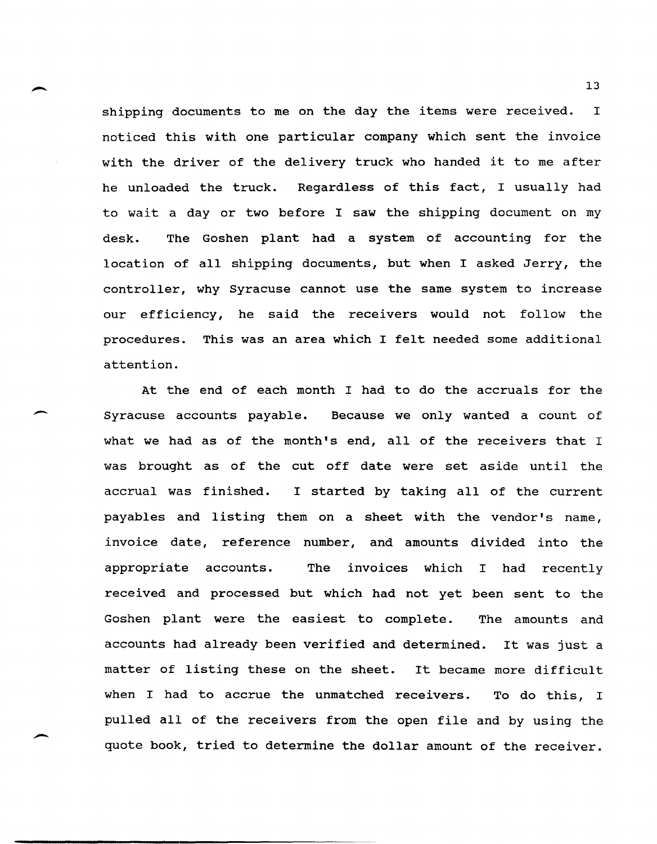shipping documents to me on the day the items were received. I noticed this with one particular company which sent the invoice with the driver of the delivery truck who handed it to me after he unloaded the truck. Regardless of this fact, I usually had to wait a day or two before I saw the shipping document on my desk. The Goshen plant had a system of accounting for the location of all shipping documents, but when I asked Jerry, the controller, why Syracuse cannot use the same system to increase our efficiency, he said the receivers would not follow the procedures. This was an area which I felt needed some additional attention.

At the end of each month I had to do the accruals for the Syracuse accounts payable. Because we only wanted a count of what we had as of the month's end, all of the receivers that I was brought as of the cut off date were set aside until the accrual was finished. I started by taking all of the current payables and listing them on a sheet with the vendor's name, invoice date, reference number, and amounts divided into the appropriate accounts. The invoices which I had recently received and processed but which had not yet been sent to the Goshen plant were the easiest to complete. The amounts and accounts had already been verified and determined. It was just a matter of listing these on the sheet. It became more difficult when I had to accrue the unmatched receivers. To do this, I pulled all of the receivers from the open file and by using the quote book, tried to determine the dollar amount of the receiver.

 $\overline{\phantom{a}}$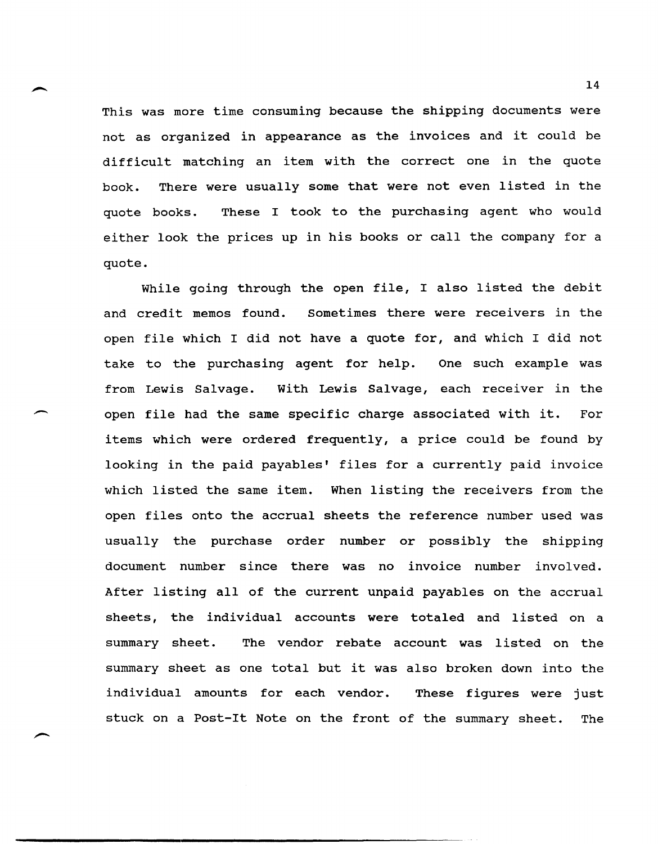This was more time consuming because the shipping documents were not as organized in appearance as the invoices and it could be difficult matching an item with the correct one in the quote book. There were usually some that were not even listed in the quote books. These I took to the purchasing agent who would either look the prices up in his books or call the company for a quote.

While going through the open file, I also listed the debit and credit memos found. sometimes there were receivers in the open file which I did not have a quote for, and which I did not take to the purchasing agent for help. One such example was from Lewis Salvage. With Lewis Salvage, each receiver in the open file had the same specific charge associated with it. For items which were ordered frequently, a price could be found by looking in the paid payables' files for a currently paid invoice which listed the same item. When listing the receivers from the open files onto the accrual sheets the reference number used was usually the purchase order number or possibly the shipping document number since there was no invoice number involved. After listing all of the current unpaid payables on the accrual sheets, the individual accounts were totaled and listed on a summary sheet. The vendor rebate account was listed on the summary sheet as one total but it was also broken down into the individual amounts for each vendor. These figures were just stuck on a Post-It Note on the front of the summary sheet. The

 $\overline{\phantom{0}}$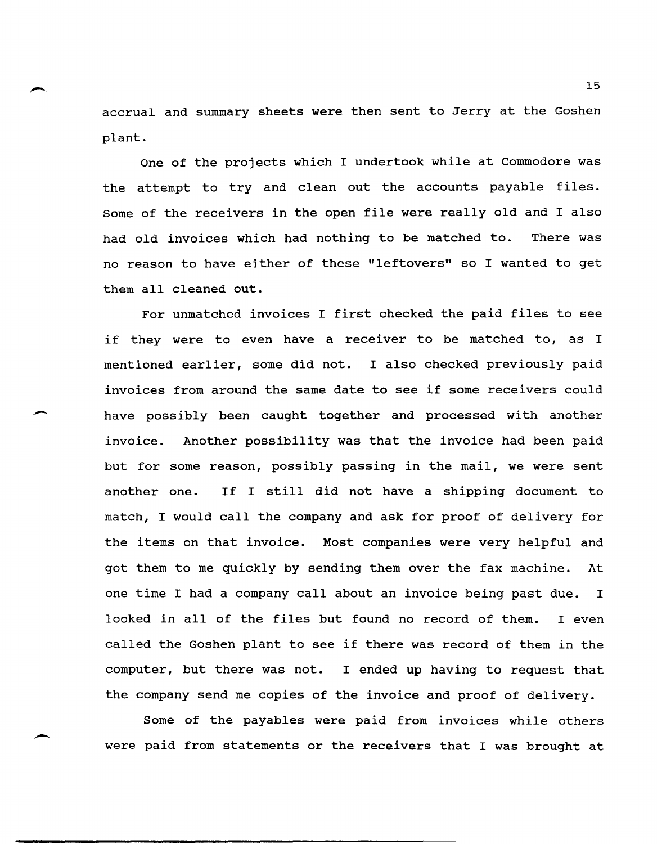- <sup>15</sup> accrual and summary sheets were then sent to Jerry at the Goshen plant.

> One of the projects which I undertook while at Commodore was the attempt to try and clean out the accounts payable files. Some of the receivers in the open file were really old and I also had old invoices which had nothing to be matched to. There was no reason to have either of these "leftovers" so I wanted to get them all cleaned out.

> For unmatched invoices I first checked the paid files to see if they were to even have a receiver to be matched to, as I mentioned earlier, some did not. I also checked previously paid invoices from around the same date to see if some receivers could have possibly been caught together and processed with another invoice. Another possibility was that the invoice had been paid but for some reason, possibly passing in the mail, we were sent another one. If I still did not have a shipping document to match, I would call the company and ask for proof of delivery for the items on that invoice. Most companies were very helpful and got them to me quickly by sending them over the fax machine. At one time I had a company call about an invoice being past due. I looked in all of the files but found no record of them. I even called the Goshen plant to see if there was record of them in the computer, but there was not. I ended up having to request that the company send me copies of the invoice and proof of delivery.

> Some of the payables were paid from invoices while others were paid from statements or the receivers that I was brought at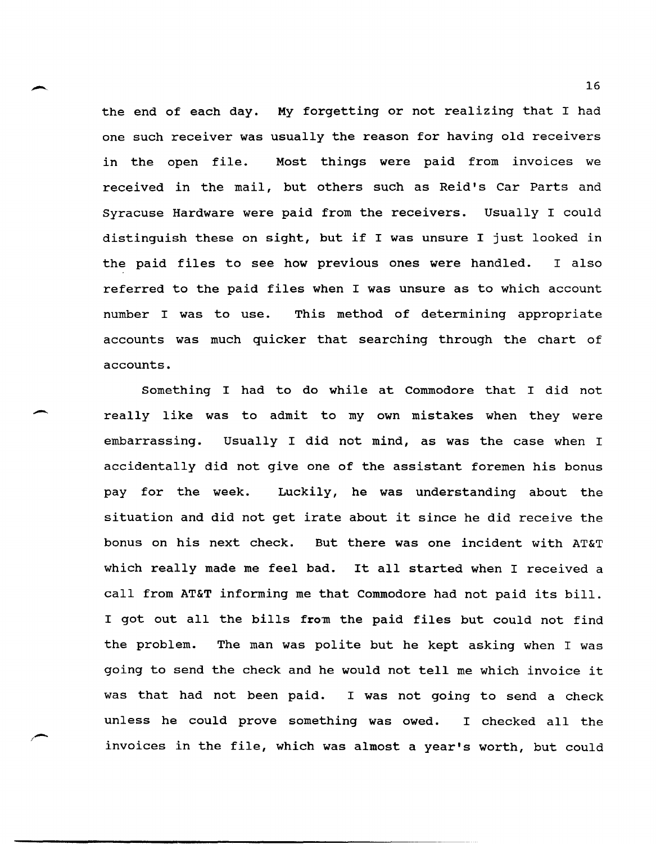the end of each day. My forgetting or not realizing that I had one such receiver was usually the reason for having old receivers in the open file. Most things were paid from invoices we received in the mail, but others such as Reid's Car Parts and Syracuse Hardware were paid from the receivers. Usually I could distinguish these on sight, but if I was unsure I just looked in the paid files to see how previous ones were handled. I also referred to the paid files when I was unsure as to which account number I was to use. This method of determining appropriate accounts was much quicker that searching through the chart of accounts.

Something I had to do while at Commodore that I did not really like was to admit to my own mistakes when they were embarrassing. Usually I did not mind, as was the case when I accidentally did not give one of the assistant foremen his bonus pay for the week. Luckily, he was understanding about the situation and did not get irate about it since he did receive the bonus on his next check. But there was one incident with AT&T which really made me feel bad. It all started when I received a call from AT&T informing me that Commodore had not paid its bill. I got out all the bills from the paid files but could not find the problem. The man was polite but he kept asking when I was going to send the check and he would not tell me which invoice it was that had not been paid. I was not going to send a check unless he could prove something was owed. I checked all the invoices in the file, which was almost a year's worth, but could

 $\overline{\phantom{a}}$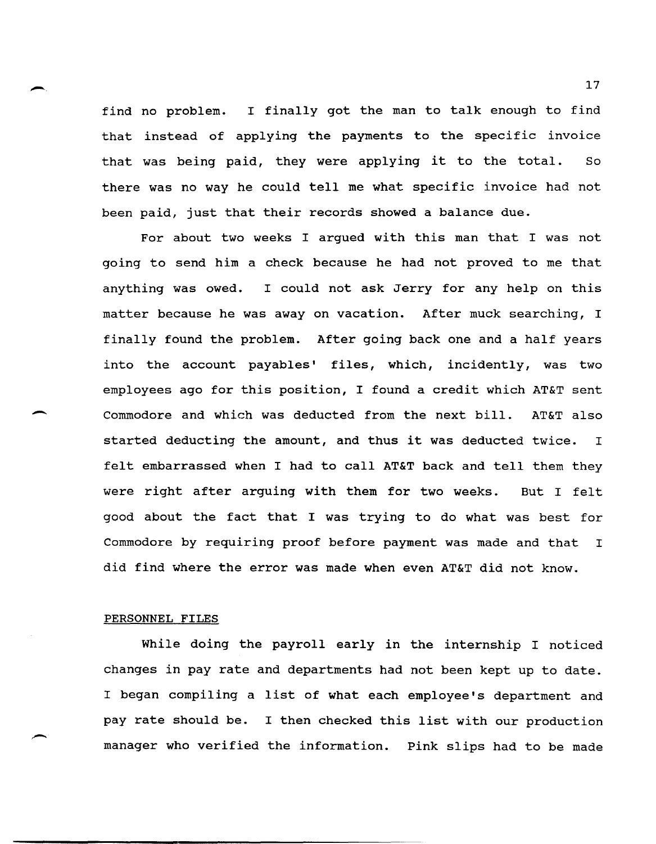find no problem. I finally got the man to talk enough to find that instead of applying the payments to the specific invoice that was being paid, they were applying it to the total. So there was no way he could tell me what specific invoice had not been paid, just that their records showed a balance due.

For about two weeks I argued with this man that I was not going to send him a check because he had not proved to me that anything was owed. I could not ask Jerry for any help on this matter because he was away on vacation. After muck searching, I finally found the problem. After going back one and a half years into the account payables' files, which, incidently, was two employees ago for this position, I found a credit which AT&T sent Commodore and which was deducted from the next bill. AT&T also started deducting the amount, and thus it was deducted twice. I felt embarrassed when I had to call AT&T back and tell them they were right after arguing with them for two weeks. But I felt good about the fact that I was trying to do what was best for Commodore by requiring proof before payment was made and that I did find where the error was made when even AT&T did not know.

### PERSONNEL FILES

-

-

While doing the payroll early in the internship I noticed changes in pay rate and departments had not been kept up to date. I began compiling a list of what each employee's department and pay rate should be. I then checked this list with our production manager who verified the information. Pink slips had to be made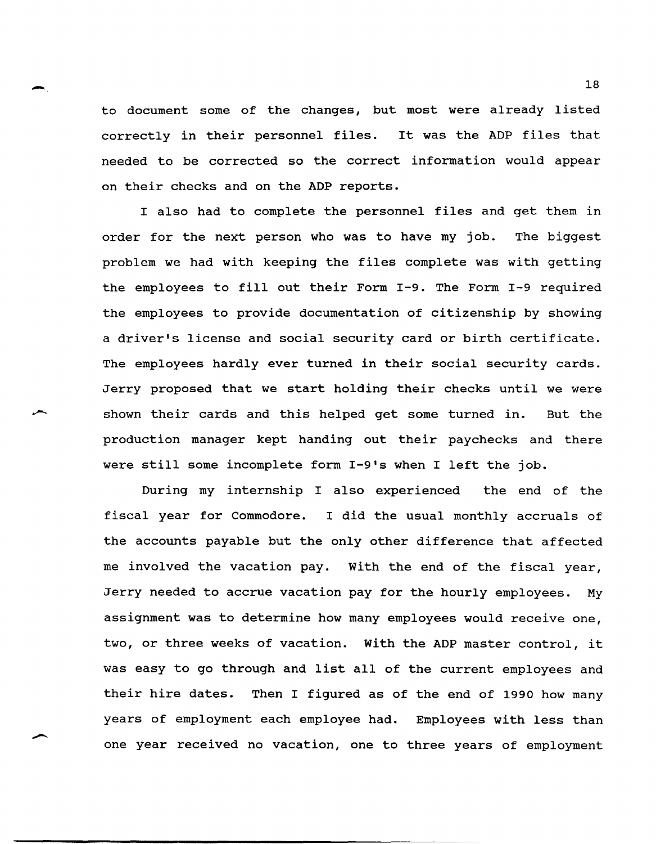18 to document some of the changes, but most were already listed correctly in their personnel files. It was the ADP files that needed to be corrected so the correct information would appear on their checks and on the ADP reports.

> I also had to complete the personnel files and get them in order for the next person who was to have my job. The biggest problem we had with keeping the files complete was with getting the employees to fill out their Form 1-9. The Form 1-9 required the employees to provide documentation of citizenship by showing a driver's license and social security card or birth certificate. The employees hardly ever turned in their social security cards. Jerry proposed that we start holding their checks until we were shown their cards and this helped get some turned in. But the production manager kept handing out their paychecks and there were still some incomplete form  $I-9$ 's when I left the job.

> During my internship I also experienced the end of the fiscal year for Commodore. I did the usual monthly accruals of the accounts payable but the only other difference that affected me involved the vacation pay. with the end of the fiscal year, Jerry needed to accrue vacation pay for the hourly employees. My assignment was to determine how many employees would receive one, two, or three weeks of vacation. with the ADP master control, it was easy to go through and list all of the current employees and their hire dates. Then I figured as of the end of 1990 how many years of employment each employee had. Employees with less than one year received no vacation, one to three years of employment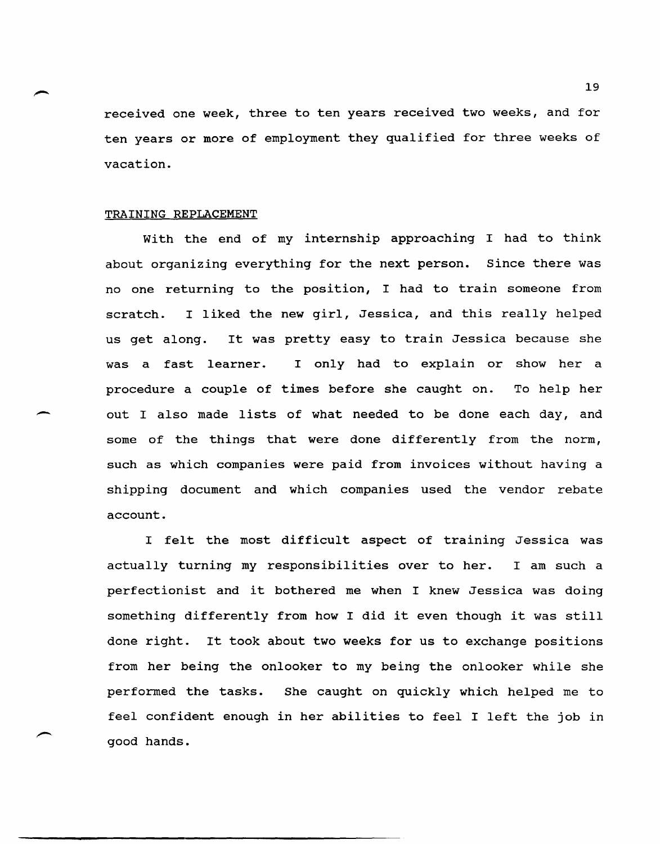received one week, three to ten years received two weeks, and for ten years or more of employment they qualified for three weeks of vacation.

### TRAINING REPLACEMENT

-

With the end of my internship approaching I had to think about organizing everything for the next person. Since there was no one returning to the position, I had to train someone from scratch. I liked the new girl, Jessica, and this really helped us get along. It was pretty easy to train Jessica because she was a fast learner. I only had to explain or show her a procedure a couple of times before she caught on. To help her out I also made lists of what needed to be done each day, and some of the things that were done differently from the norm, such as which companies were paid from invoices without having a shipping document and which companies used the vendor rebate account.

I felt the most difficult aspect of training Jessica was actually turning my responsibilities over to her. I am such a perfectionist and it bothered me when I knew Jessica was doing something differently from how I did it even though it was still done right. It took about two weeks for us to exchange positions from her being the onlooker to my being the onlooker while she performed the tasks. She caught on quickly which helped me to feel confident enough in her abilities to feel I left the job in good hands.